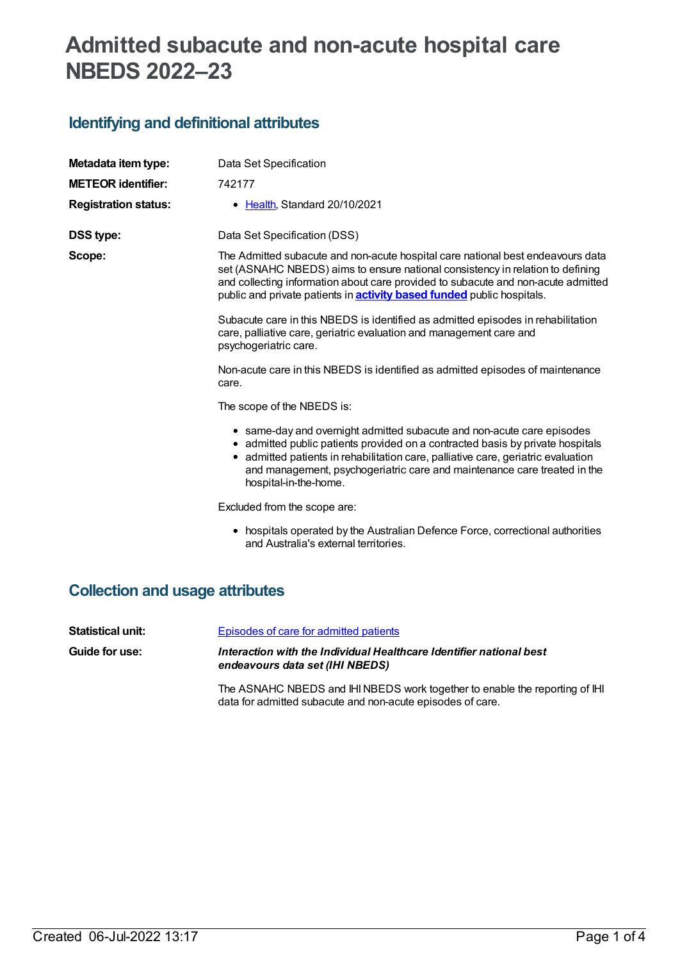# **Admitted subacute and non-acute hospital care NBEDS 2022–23**

## **Identifying and definitional attributes**

| Metadata item type:         | Data Set Specification                                                                                                                                                                                                                                                                                                                             |
|-----------------------------|----------------------------------------------------------------------------------------------------------------------------------------------------------------------------------------------------------------------------------------------------------------------------------------------------------------------------------------------------|
| <b>METEOR identifier:</b>   | 742177                                                                                                                                                                                                                                                                                                                                             |
| <b>Registration status:</b> | • Health, Standard 20/10/2021                                                                                                                                                                                                                                                                                                                      |
| <b>DSS type:</b>            | Data Set Specification (DSS)                                                                                                                                                                                                                                                                                                                       |
| Scope:                      | The Admitted subacute and non-acute hospital care national best endeavours data<br>set (ASNAHC NBEDS) aims to ensure national consistency in relation to defining<br>and collecting information about care provided to subacute and non-acute admitted<br>public and private patients in <b>activity based funded</b> public hospitals.            |
|                             | Subacute care in this NBEDS is identified as admitted episodes in rehabilitation<br>care, palliative care, geriatric evaluation and management care and<br>psychogeriatric care.                                                                                                                                                                   |
|                             | Non-acute care in this NBEDS is identified as admitted episodes of maintenance<br>care.                                                                                                                                                                                                                                                            |
|                             | The scope of the NBEDS is:                                                                                                                                                                                                                                                                                                                         |
|                             | • same-day and overnight admitted subacute and non-acute care episodes<br>• admitted public patients provided on a contracted basis by private hospitals<br>• admitted patients in rehabilitation care, palliative care, geriatric evaluation<br>and management, psychogeriatric care and maintenance care treated in the<br>hospital-in-the-home. |
|                             | Excluded from the scope are:                                                                                                                                                                                                                                                                                                                       |
|                             | • hospitals operated by the Australian Defence Force, correctional authorities<br>and Australia's external territories.                                                                                                                                                                                                                            |

### **Collection and usage attributes**

| Statistical unit:     | Episodes of care for admitted patients                                                                 |
|-----------------------|--------------------------------------------------------------------------------------------------------|
| <b>Guide for use:</b> | Interaction with the Individual Healthcare Identifier national best<br>endeavours data set (IHI NBEDS) |
|                       | The ASNAHC NBEDS and IHI NBEDS work together to enable the reporting of IHI                            |

data for admitted subacute and non-acute episodes of care.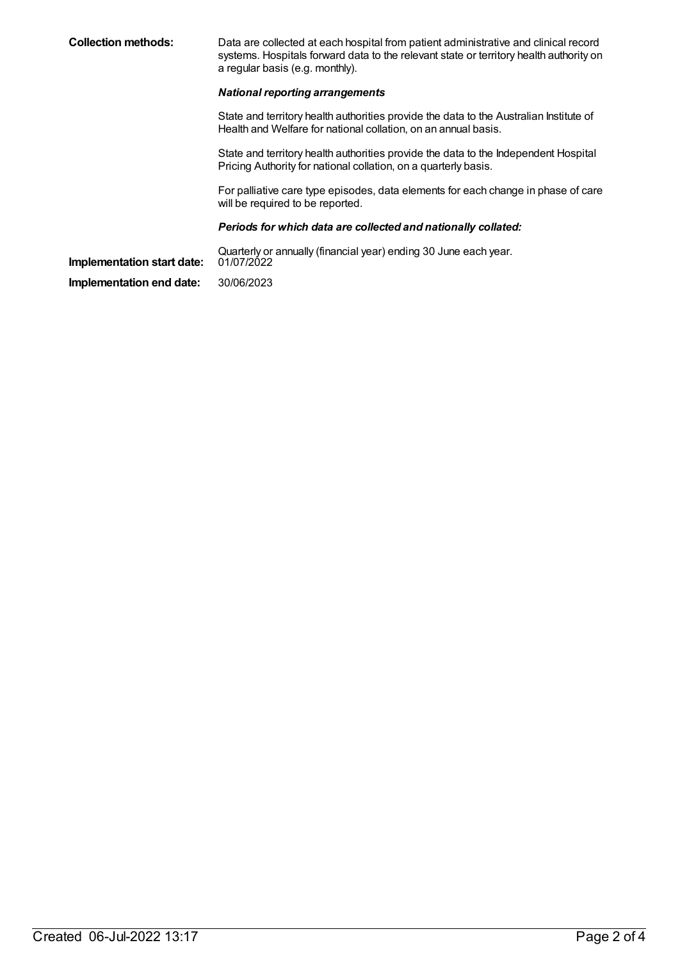**Collection methods:** Data are collected at each hospital from patient administrative and clinical record systems. Hospitals forward data to the relevant state or territory health authority on a regular basis (e.g. monthly). *National reporting arrangements* State and territory health authorities provide the data to the Australian Institute of Health and Welfare for national collation, on an annual basis. State and territory health authorities provide the data to the Independent Hospital Pricing Authority for national collation, on a quarterly basis. For palliative care type episodes, data elements for each change in phase of care will be required to be reported. *Periods for which data are collected and nationally collated:* Quarterly or annually (financial year) ending 30 June each year. **Implementation start date: Implementation end date:** 30/06/2023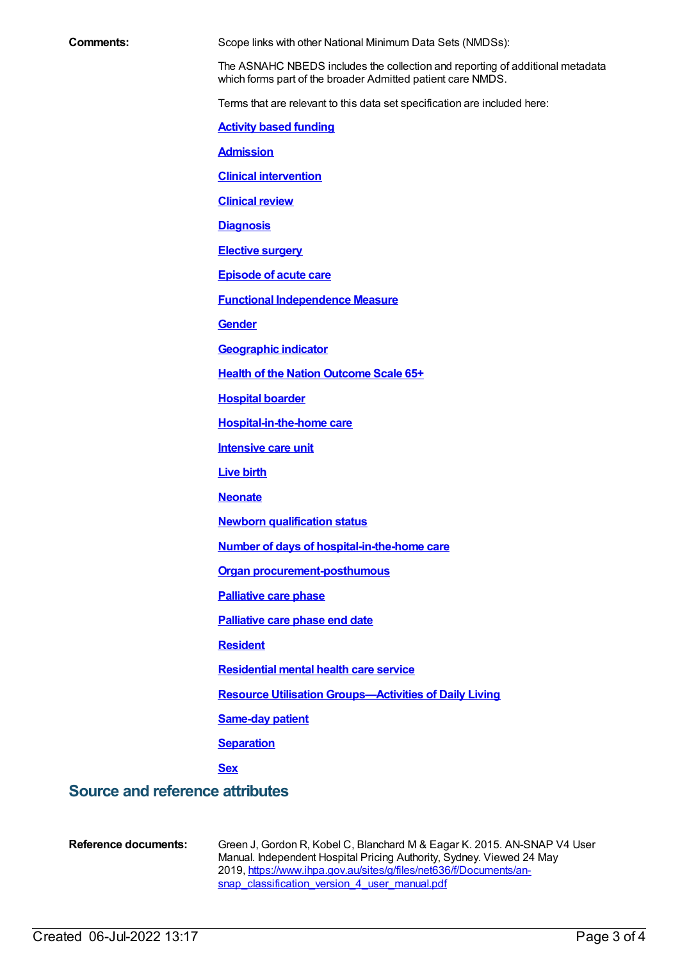| Comments: |  |
|-----------|--|
|-----------|--|

Scope links with other National Minimum Data Sets (NMDSs):

The ASNAHC NBEDS includes the collection and reporting of additional metadata which forms part of the broader Admitted patient care NMDS.

Terms that are relevant to this data set specification are included here:

**Activity based [funding](https://meteor.aihw.gov.au/content/678967)**

**[Admission](https://meteor.aihw.gov.au/content/327206)**

**Clinical [intervention](https://meteor.aihw.gov.au/content/327220)**

**[Clinical](https://meteor.aihw.gov.au/content/327214) review**

**[Diagnosis](https://meteor.aihw.gov.au/content/327224)**

**[Elective](https://meteor.aihw.gov.au/content/568780) surgery**

**[Episode](https://meteor.aihw.gov.au/content/327230) of acute care**

**Functional [Independence](https://meteor.aihw.gov.au/content/495857) Measure**

**[Gender](https://meteor.aihw.gov.au/content/750032)**

**[Geographic](https://meteor.aihw.gov.au/content/722655) indicator**

**Health of the Nation [Outcome](https://meteor.aihw.gov.au/content/681544) Scale 65+**

**[Hospital](https://meteor.aihw.gov.au/content/327242) boarder**

**[Hospital-in-the-home](https://meteor.aihw.gov.au/content/327308) care**

**[Intensive](https://meteor.aihw.gov.au/content/327234) care unit**

**[Live](https://meteor.aihw.gov.au/content/733187) birth**

**[Neonate](https://meteor.aihw.gov.au/content/327284)**

**Newborn [qualification](https://meteor.aihw.gov.au/content/327254) status**

**Number of days of [hospital-in-the-home](https://meteor.aihw.gov.au/content/269242) care**

**Organ [procurement-posthumous](https://meteor.aihw.gov.au/content/711000)**

**[Palliative](https://meteor.aihw.gov.au/content/681549) care phase**

**[Palliative](https://meteor.aihw.gov.au/content/684248) care phase end date**

**[Resident](https://meteor.aihw.gov.au/content/722666)**

**[Residential](https://meteor.aihw.gov.au/content/373049) mental health care service**

**Resource Utilisation [Groups—Activities](https://meteor.aihw.gov.au/content/495909) of Daily Living**

**[Same-day](https://meteor.aihw.gov.au/content/327270) patient**

**[Separation](https://meteor.aihw.gov.au/content/327268)**

**[Sex](https://meteor.aihw.gov.au/content/750030)**

### **Source and reference attributes**

**Reference documents:** Green J, Gordon R, Kobel C, Blanchard M & Eagar K. 2015. AN-SNAP V4 User Manual. Independent Hospital Pricing Authority, Sydney. Viewed 24 May 2019, [https://www.ihpa.gov.au/sites/g/files/net636/f/Documents/an](https://www.ihpa.gov.au/sites/g/files/net636/f/Documents/an-snap_classification_version_4_user_manual.pdf)snap\_classification\_version\_4\_user\_manual.pdf